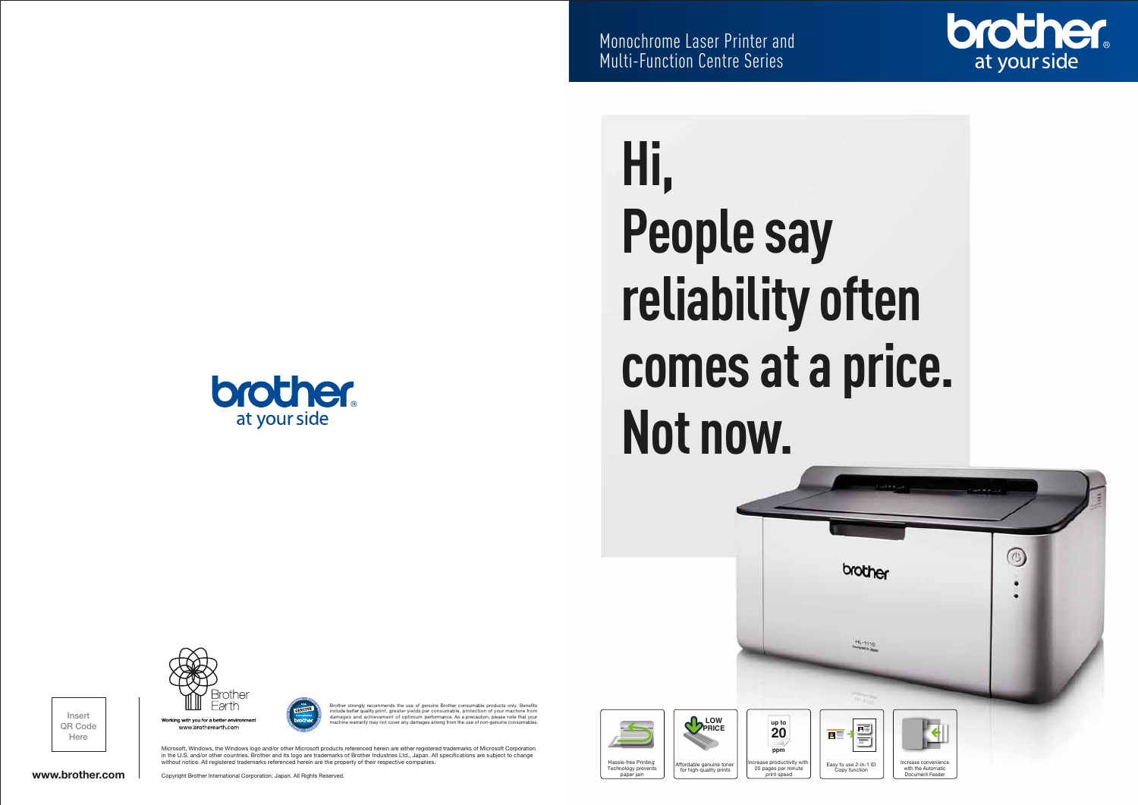**brother.** at your side



Microsoft, Windows, the Windows logo and/or other Microsoft products referenced herein are either registered trademarks of Microsoft Corporation in the U.S. and/or other countries. Brother and its logo are trademarks of Brother Industries Ltd., Japan. All specications are subject to change without notice. All registered trademarks referenced herein are the property of their respective companies.

Monochrome Laser Printer and

Multi-Function Centre Series



www.brotherearth.com

Copyright Brother International Corporation, Japan. All Rights Reserved.

 $\overline{\mathbf{a}}$  = Easy to use 2-in-1 ID Copy function



www.brother.com

Insert QR Code Here

bther strongly recommends the use of genuine Brother consuments only. Benefit at a include better quality print, greater yields per consumable, protection of your machine from damages and achievement of optimum performance. As a precaution, please note that your machine way not cover any damages arising from the use of non-genuine consumers.